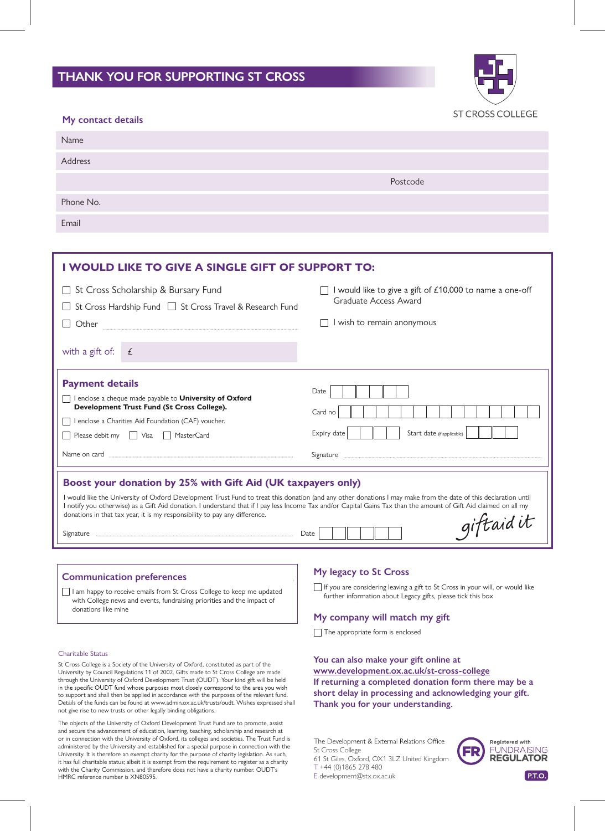# **THANK YOU FOR SUPPORTING ST CROSS**



| My contact details | ST CROSS COLLEGE |
|--------------------|------------------|
| Name               |                  |
| Address            |                  |
|                    | Postcode         |
| Phone No.          |                  |
| Email              |                  |

| I WOULD LIKE TO GIVE A SINGLE GIFT OF SUPPORT TO:                                                                                                                                                                                                                                                                                                                                                                                                                                                       |                                                                                                                                                                                                                                                           |                                                                                                             |  |
|---------------------------------------------------------------------------------------------------------------------------------------------------------------------------------------------------------------------------------------------------------------------------------------------------------------------------------------------------------------------------------------------------------------------------------------------------------------------------------------------------------|-----------------------------------------------------------------------------------------------------------------------------------------------------------------------------------------------------------------------------------------------------------|-------------------------------------------------------------------------------------------------------------|--|
| Other                                                                                                                                                                                                                                                                                                                                                                                                                                                                                                   | St Cross Scholarship & Bursary Fund<br>St Cross Hardship Fund □ St Cross Travel & Research Fund                                                                                                                                                           | would like to give a gift of £10,000 to name a one-off<br>Graduate Access Award<br>wish to remain anonymous |  |
| with a gift of:                                                                                                                                                                                                                                                                                                                                                                                                                                                                                         | £                                                                                                                                                                                                                                                         |                                                                                                             |  |
| <b>Payment details</b>                                                                                                                                                                                                                                                                                                                                                                                                                                                                                  | I enclose a cheque made payable to University of Oxford<br>Development Trust Fund (St Cross College).<br>I enclose a Charities Aid Foundation (CAF) voucher.<br>Please debit my   Visa   MasterCard<br>Name on card <u>www.communications are alleged</u> | Date<br>Card no<br>Start date (if applicable)<br>Expiry date                                                |  |
| Boost your donation by 25% with Gift Aid (UK taxpayers only)<br>I would like the University of Oxford Development Trust Fund to treat this donation (and any other donations I may make from the date of this declaration until<br>I notify you otherwise) as a Gift Aid donation. I understand that if I pay less Income Tax and/or Capital Gains Tax than the amount of Gift Aid claimed on all my<br>donations in that tax year, it is my responsibility to pay any difference.<br>giftaidit<br>Date |                                                                                                                                                                                                                                                           |                                                                                                             |  |
|                                                                                                                                                                                                                                                                                                                                                                                                                                                                                                         |                                                                                                                                                                                                                                                           | $M_{\rm M}$ lagaay ta $\Omega$ t Cuasa                                                                      |  |

# **Communication preferences**

I am happy to receive emails from St Cross College to keep me updated with College news and events, fundraising priorities and the impact of donations like mine

## Charitable Status

St Cross College is a Society of the University of Oxford, constituted as part of the University by Council Regulations 11 of 2002. Gifts made to St Cross College are made through the University of Oxford Development Trust (OUDT). Your kind gift will be held<br>in the specific OUDT fund whose purposes most closely correspond to the area you wish to support and shall then be applied in accordance with the purposes of the relevant fund. Details of the funds can be found at www.admin.ox.ac.uk/trusts/oudt. Wishes expressed shall not give rise to new trusts or other legally binding obligations.

The objects of the University of Oxford Development Trust Fund are to promote, assist and secure the advancement of education, learning, teaching, scholarship and research at or in connection with the University of Oxford, its colleges and societies. The Trust Fund is administered by the University and established for a special purpose in connection with the University. It is therefore an exempt charity for the purpose of charity legislation. As such, it has full charitable status; albeit it is exempt from the requirement to register as a charity with the Charity Commission, and therefore does not have a charity number. OUDT's HMRC reference number is XN80595. **P.T.O. P.T.O. E** development@stx.ox.ac.uk **P.T.O.** 

## **My legacy to St Cross**

If you are considering leaving a gift to St Cross in your will, or would like further information about Legacy gifts, please tick this box

## **My company will match my gift**

The appropriate form is enclosed

**You can also make your gift online at If returning a completed donation form there may be a short delay in processing and acknowledging your gift. Thank you for your understanding. www.development.ox.ac.uk/st-cross-college**

The Development & External Relations Office St Cross College

61 St Giles, Oxford, OX1 3LZ United Kingdom T +44 (0)1865 278 480

E development@stx.ox.ac.uk